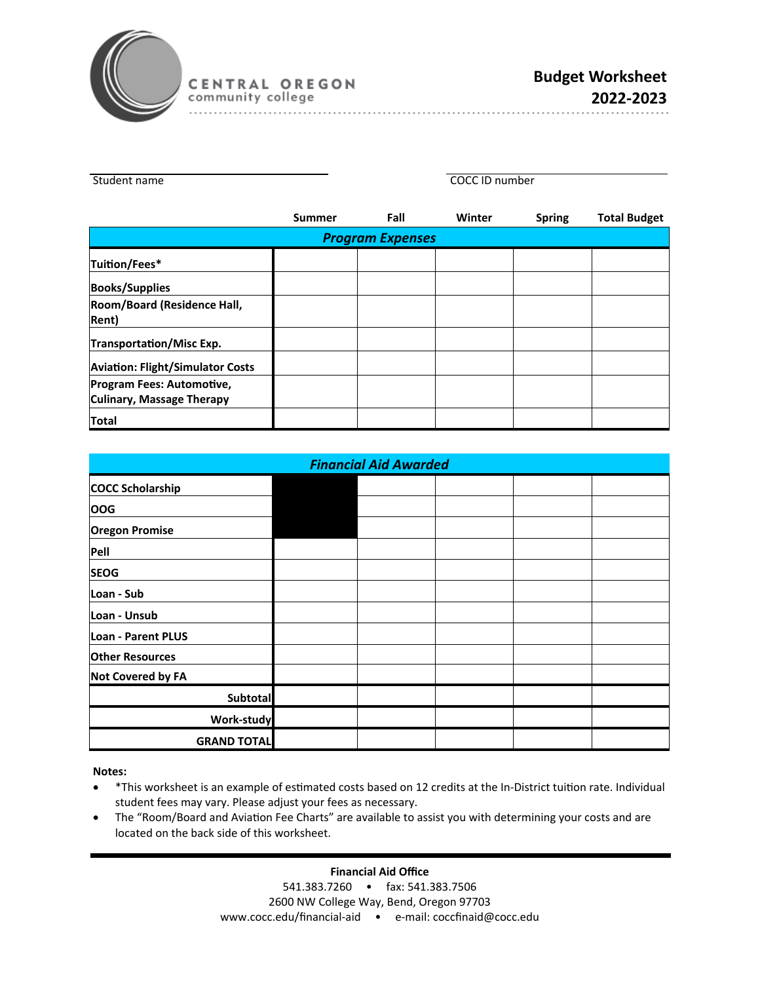

. . . . . . . . . . . . . . .

| Student name                                                         | <b>COCC ID number</b> |                         |        |               |                     |
|----------------------------------------------------------------------|-----------------------|-------------------------|--------|---------------|---------------------|
|                                                                      | <b>Summer</b>         | Fall                    | Winter | <b>Spring</b> | <b>Total Budget</b> |
|                                                                      |                       | <b>Program Expenses</b> |        |               |                     |
| Tuition/Fees*                                                        |                       |                         |        |               |                     |
| <b>Books/Supplies</b>                                                |                       |                         |        |               |                     |
| Room/Board (Residence Hall,<br><b>Rent</b> )                         |                       |                         |        |               |                     |
| Transportation/Misc Exp.                                             |                       |                         |        |               |                     |
| <b>Aviation: Flight/Simulator Costs</b>                              |                       |                         |        |               |                     |
| <b>Program Fees: Automotive,</b><br><b>Culinary, Massage Therapy</b> |                       |                         |        |               |                     |
| <b>Total</b>                                                         |                       |                         |        |               |                     |

| <b>Financial Aid Awarded</b> |  |  |  |  |  |
|------------------------------|--|--|--|--|--|
| <b>COCC Scholarship</b>      |  |  |  |  |  |
| <b>OOG</b>                   |  |  |  |  |  |
| <b>Oregon Promise</b>        |  |  |  |  |  |
| Pell                         |  |  |  |  |  |
| <b>SEOG</b>                  |  |  |  |  |  |
| Loan - Sub                   |  |  |  |  |  |
| Loan - Unsub                 |  |  |  |  |  |
| Loan - Parent PLUS           |  |  |  |  |  |
| <b>Other Resources</b>       |  |  |  |  |  |
| <b>Not Covered by FA</b>     |  |  |  |  |  |
| Subtotal                     |  |  |  |  |  |
| Work-study                   |  |  |  |  |  |
| <b>GRAND TOTAL</b>           |  |  |  |  |  |

**Notes:** 

- \* This worksheet is an example of estimated costs based on 12 credits at the In-District tuition rate. Individual student fees may vary. Please adjust your fees as necessary.
- The "Room/Board and Aviation Fee Charts" are available to assist you with determining your costs and are located on the back side of this worksheet.